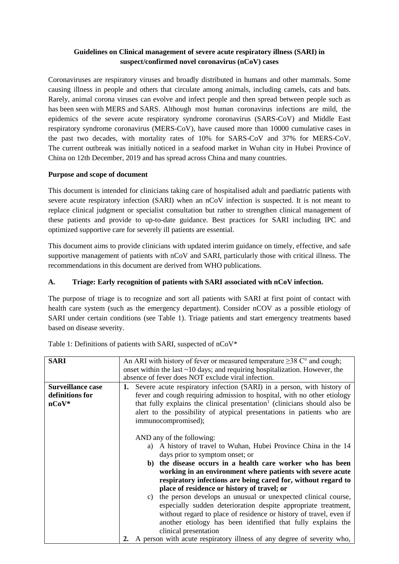## **Guidelines on Clinical management of severe acute respiratory illness (SARI) in suspect/confirmed novel coronavirus (nCoV) cases**

Coronaviruses are respiratory viruses and broadly distributed in humans and other mammals. Some causing illness in people and others that circulate among animals, including camels, cats and bats. Rarely, animal corona viruses can evolve and infect people and then spread between people such as has been seen with MERS and SARS. Although most human coronavirus infections are mild, the epidemics of the severe acute respiratory syndrome coronavirus (SARS-CoV) and Middle East respiratory syndrome coronavirus (MERS-CoV), have caused more than 10000 cumulative cases in the past two decades, with mortality rates of 10% for SARS-CoV and 37% for MERS-CoV. The current outbreak was initially noticed in a seafood market in Wuhan city in Hubei Province of China on 12th December, 2019 and has spread across China and many countries.

## **Purpose and scope of document**

This document is intended for clinicians taking care of hospitalised adult and paediatric patients with severe acute respiratory infection (SARI) when an nCoV infection is suspected. It is not meant to replace clinical judgment or specialist consultation but rather to strengthen clinical management of these patients and provide to up-to-date guidance. Best practices for SARI including IPC and optimized supportive care for severely ill patients are essential.

This document aims to provide clinicians with updated interim guidance on timely, effective, and safe supportive management of patients with nCoV and SARI, particularly those with critical illness. The recommendations in this document are derived from WHO publications.

# **A. Triage: Early recognition of patients with SARI associated with nCoV infection.**

The purpose of triage is to recognize and sort all patients with SARI at first point of contact with health care system (such as the emergency department). Consider nCOV as a possible etiology of SARI under certain conditions (see Table 1). Triage patients and start emergency treatments based based on disease severity.

| <b>SARI</b>              | An ARI with history of fever or measured temperature $\geq$ 38 C° and cough;          |
|--------------------------|---------------------------------------------------------------------------------------|
|                          | onset within the last $\sim$ 10 days; and requiring hospitalization. However, the     |
|                          | absence of fever does NOT exclude viral infection.                                    |
| <b>Surveillance case</b> | Severe acute respiratory infection (SARI) in a person, with history of<br>1.          |
| definitions for          | fever and cough requiring admission to hospital, with no other etiology               |
| $nCoV^*$                 | that fully explains the clinical presentation <sup>1</sup> (clinicians should also be |
|                          |                                                                                       |
|                          | alert to the possibility of atypical presentations in patients who are                |
|                          | immunocompromised);                                                                   |
|                          |                                                                                       |
|                          | AND any of the following:                                                             |
|                          | a) A history of travel to Wuhan, Hubei Province China in the 14                       |
|                          | days prior to symptom onset; or                                                       |
|                          | the disease occurs in a health care worker who has been<br>b)                         |
|                          |                                                                                       |
|                          | working in an environment where patients with severe acute                            |
|                          | respiratory infections are being cared for, without regard to                         |
|                          | place of residence or history of travel; or                                           |
|                          | the person develops an unusual or unexpected clinical course,<br>C)                   |
|                          | especially sudden deterioration despite appropriate treatment,                        |
|                          | without regard to place of residence or history of travel, even if                    |
|                          |                                                                                       |
|                          |                                                                                       |
|                          | another etiology has been identified that fully explains the<br>clinical presentation |

Table 1: Definitions of patients with SARI, suspected of nCoV\*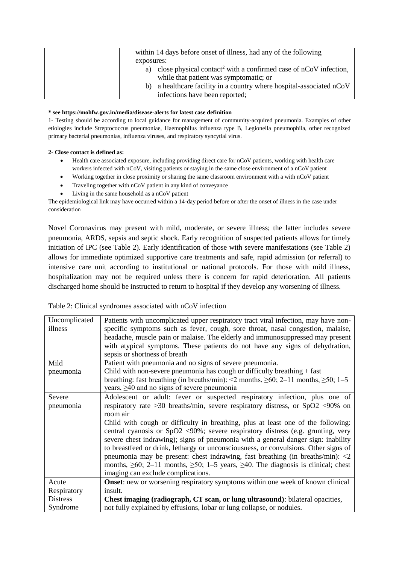| within 14 days before onset of illness, had any of the following                                                               |
|--------------------------------------------------------------------------------------------------------------------------------|
| exposures:                                                                                                                     |
| close physical contact <sup>2</sup> with a confirmed case of $nCoV$ infection,<br>a)<br>while that patient was symptomatic; or |
| a healthcare facility in a country where hospital-associated nCoV<br>b)                                                        |
| infections have been reported;                                                                                                 |

#### **\* see https://mohfw.gov.in/media/disease-alerts for latest case definition**

1- Testing should be according to local guidance for management of community-acquired pneumonia. Examples of other etiologies include Streptococcus pneumoniae, Haemophilus influenza type B, Legionella pneumophila, other recognized primary bacterial pneumonias, influenza viruses, and respiratory syncytial virus.

#### **2- Close contact is defined as:**

- Health care associated exposure, including providing direct care for nCoV patients, working with health care workers infected with nCoV, visiting patients or staying in the same close environment of a nCoV patient
- Working together in close proximity or sharing the same classroom environment with a with nCoV patient
- Traveling together with nCoV patient in any kind of conveyance
- Living in the same household as a nCoV patient

The epidemiological link may have occurred within a 14-day period before or after the onset of illness in the case under consideration

Novel Coronavirus may present with mild, moderate, or severe illness; the latter includes severe pneumonia, ARDS, sepsis and septic shock. Early recognition of suspected patients allows for timely initiation of IPC (see Table 2). Early identification of those with severe manifestations (see Table 2) allows for immediate optimized supportive care treatments and safe, rapid admission (or referral) to intensive care unit according to institutional or national protocols. For those with mild illness, hospitalization may not be required unless there is concern for rapid deterioration. All patients discharged home should be instructed to return to hospital if they develop any worsening of illness.

| Uncomplicated<br>illness | Patients with uncomplicated upper respiratory tract viral infection, may have non-<br>specific symptoms such as fever, cough, sore throat, nasal congestion, malaise,<br>headache, muscle pain or malaise. The elderly and immunosuppressed may present<br>with atypical symptoms. These patients do not have any signs of dehydration,<br>sepsis or shortness of breath |
|--------------------------|--------------------------------------------------------------------------------------------------------------------------------------------------------------------------------------------------------------------------------------------------------------------------------------------------------------------------------------------------------------------------|
| Mild                     | Patient with pneumonia and no signs of severe pneumonia.                                                                                                                                                                                                                                                                                                                 |
| pneumonia                | Child with non-severe pneumonia has cough or difficulty breathing $+$ fast                                                                                                                                                                                                                                                                                               |
|                          | breathing: fast breathing (in breaths/min): <2 months, $\geq 60$ ; 2-11 months, $\geq 50$ ; 1-5<br>years, $\geq 40$ and no signs of severe pneumonia                                                                                                                                                                                                                     |
| Severe                   | Adolescent or adult: fever or suspected respiratory infection, plus one of                                                                                                                                                                                                                                                                                               |
| pneumonia                | respiratory rate > 30 breaths/min, severe respiratory distress, or $SpO2$ <90% on                                                                                                                                                                                                                                                                                        |
|                          | room air                                                                                                                                                                                                                                                                                                                                                                 |
|                          | Child with cough or difficulty in breathing, plus at least one of the following:                                                                                                                                                                                                                                                                                         |
|                          | central cyanosis or SpO2 <90%; severe respiratory distress (e.g. grunting, very                                                                                                                                                                                                                                                                                          |
|                          |                                                                                                                                                                                                                                                                                                                                                                          |
|                          | severe chest indrawing); signs of pneumonia with a general danger sign: inability                                                                                                                                                                                                                                                                                        |
|                          | to breastfeed or drink, lethargy or unconsciousness, or convulsions. Other signs of                                                                                                                                                                                                                                                                                      |
|                          | pneumonia may be present: chest indrawing, fast breathing (in breaths/min): $\langle 2 \rangle$                                                                                                                                                                                                                                                                          |
|                          | months, $\geq 60$ ; 2-11 months, $\geq 50$ ; 1-5 years, $\geq 40$ . The diagnosis is clinical; chest                                                                                                                                                                                                                                                                     |
|                          | imaging can exclude complications.                                                                                                                                                                                                                                                                                                                                       |
| Acute                    | Onset: new or worsening respiratory symptoms within one week of known clinical                                                                                                                                                                                                                                                                                           |
| Respiratory              | insult.                                                                                                                                                                                                                                                                                                                                                                  |
| <b>Distress</b>          | Chest imaging (radiograph, CT scan, or lung ultrasound): bilateral opacities,                                                                                                                                                                                                                                                                                            |
| Syndrome                 | not fully explained by effusions, lobar or lung collapse, or nodules.                                                                                                                                                                                                                                                                                                    |
|                          |                                                                                                                                                                                                                                                                                                                                                                          |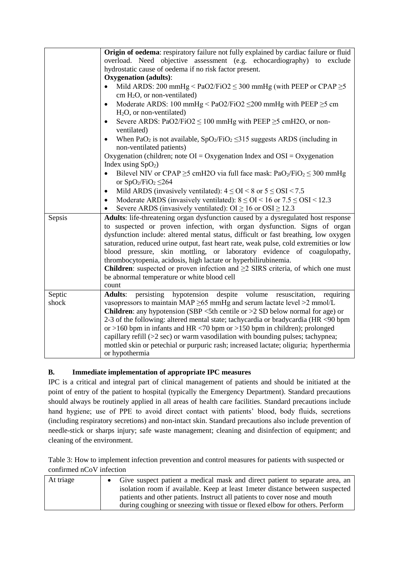|                 | Origin of oedema: respiratory failure not fully explained by cardiac failure or fluid<br>overload. Need objective assessment (e.g. echocardiography) to exclude<br>hydrostatic cause of oedema if no risk factor present.<br><b>Oxygenation</b> (adults):<br>Mild ARDS: 200 mmHg < $PaO2/FiO2 \leq 300$ mmHg (with PEEP or CPAP $\geq 5$<br>cm $H_2O$ , or non-ventilated)<br>Moderate ARDS: 100 mmHg < PaO2/FiO2 $\leq$ 200 mmHg with PEEP $\geq$ 5 cm<br>$\bullet$<br>$H2O$ , or non-ventilated)<br>Severe ARDS: PaO2/FiO2 $\leq$ 100 mmHg with PEEP $\geq$ 5 cmH2O, or non-<br>$\bullet$<br>ventilated)<br>When PaO <sub>2</sub> is not available, $SpO_2/FiO_2 \le 315$ suggests ARDS (including in<br>non-ventilated patients)<br>Oxygenation (children; note $OI = Oxy$ genation Index and $OSI = Oxy$ genation<br>Index using $SpO2$ )<br>Bilevel NIV or CPAP $\geq$ 5 cmH2O via full face mask: PaO <sub>2</sub> /FiO <sub>2</sub> $\leq$ 300 mmHg<br>$\bullet$<br>or $SpO_2/FiO_2 \leq 264$<br>Mild ARDS (invasively ventilated): $4 \leq OI < 8$ or $5 \leq OSI < 7.5$<br>Moderate ARDS (invasively ventilated): $8 \leq OI < 16$ or $7.5 \leq OSI < 12.3$<br>$\bullet$ |
|-----------------|-----------------------------------------------------------------------------------------------------------------------------------------------------------------------------------------------------------------------------------------------------------------------------------------------------------------------------------------------------------------------------------------------------------------------------------------------------------------------------------------------------------------------------------------------------------------------------------------------------------------------------------------------------------------------------------------------------------------------------------------------------------------------------------------------------------------------------------------------------------------------------------------------------------------------------------------------------------------------------------------------------------------------------------------------------------------------------------------------------------------------------------------------------------------------------------|
| Sepsis          | Severe ARDS (invasively ventilated): $OI \ge 16$ or $OSI \ge 12.3$<br>Adults: life-threatening organ dysfunction caused by a dysregulated host response<br>to suspected or proven infection, with organ dysfunction. Signs of organ<br>dysfunction include: altered mental status, difficult or fast breathing, low oxygen<br>saturation, reduced urine output, fast heart rate, weak pulse, cold extremities or low<br>blood pressure, skin mottling, or laboratory evidence of coagulopathy,<br>thrombocytopenia, acidosis, high lactate or hyperbilirubinemia.<br><b>Children</b> : suspected or proven infection and $\geq 2$ SIRS criteria, of which one must<br>be abnormal temperature or white blood cell<br>count                                                                                                                                                                                                                                                                                                                                                                                                                                                        |
| Septic<br>shock | despite volume<br><b>Adults:</b><br>persisting hypotension<br>resuscitation,<br>requiring<br>vasopressors to maintain MAP $\geq$ 65 mmHg and serum lactate level $\geq$ 2 mmol/L<br><b>Children:</b> any hypotension (SBP $\leq$ 5th centile or $>$ 2 SD below normal for age) or<br>2-3 of the following: altered mental state; tachycardia or bradycardia (HR <90 bpm<br>or >160 bpm in infants and HR <70 bpm or >150 bpm in children); prolonged<br>capillary refill $(>2 \text{ sec})$ or warm vasodilation with bounding pulses; tachypnea;<br>mottled skin or petechial or purpuric rash; increased lactate; oliguria; hyperthermia<br>or hypothermia                                                                                                                                                                                                                                                                                                                                                                                                                                                                                                                      |

# **B. Immediate implementation of appropriate IPC measures**

IPC is a critical and integral part of clinical management of patients and should be initiated at the point of entry of the patient to hospital (typically the Emergency Department). Standard precautions should always be routinely applied in all areas of health care facilities. Standard precautions include hand hygiene; use of PPE to avoid direct contact with patients' blood, body fluids, secretions (including respiratory secretions) and non-intact skin. Standard precautions also include prevention of needle-stick or sharps injury; safe waste management; cleaning and disinfection of equipment; and cleaning of the environment.

Table 3: How to implement infection prevention and control measures for patients with suspected or confirmed nCoV infection

| At triage | • Give suspect patient a medical mask and direct patient to separate area, an |
|-----------|-------------------------------------------------------------------------------|
|           | isolation room if available. Keep at least 1 meter distance between suspected |
|           | patients and other patients. Instruct all patients to cover nose and mouth    |
|           | during coughing or sneezing with tissue or flexed elbow for others. Perform   |
|           |                                                                               |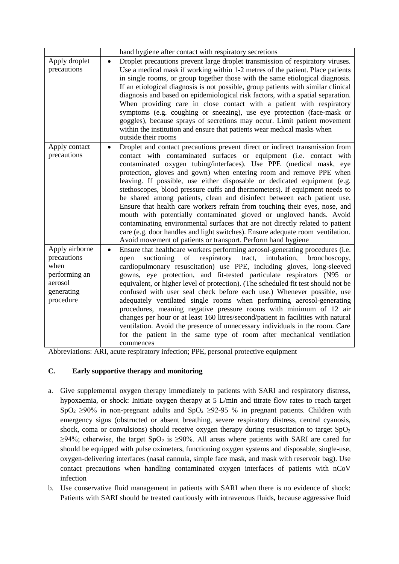|                                                                                              | hand hygiene after contact with respiratory secretions                                                                                                                                                                                                                                                                                                                                                                                                                                                                                                                                                                                                                                                                                                                                                                                                                                                                                       |
|----------------------------------------------------------------------------------------------|----------------------------------------------------------------------------------------------------------------------------------------------------------------------------------------------------------------------------------------------------------------------------------------------------------------------------------------------------------------------------------------------------------------------------------------------------------------------------------------------------------------------------------------------------------------------------------------------------------------------------------------------------------------------------------------------------------------------------------------------------------------------------------------------------------------------------------------------------------------------------------------------------------------------------------------------|
| Apply droplet<br>precautions                                                                 | Droplet precautions prevent large droplet transmission of respiratory viruses.<br>$\bullet$<br>Use a medical mask if working within 1-2 metres of the patient. Place patients<br>in single rooms, or group together those with the same etiological diagnosis.<br>If an etiological diagnosis is not possible, group patients with similar clinical<br>diagnosis and based on epidemiological risk factors, with a spatial separation.<br>When providing care in close contact with a patient with respiratory<br>symptoms (e.g. coughing or sneezing), use eye protection (face-mask or<br>goggles), because sprays of secretions may occur. Limit patient movement<br>within the institution and ensure that patients wear medical masks when<br>outside their rooms                                                                                                                                                                       |
| Apply contact<br>precautions                                                                 | Droplet and contact precautions prevent direct or indirect transmission from<br>$\bullet$<br>contact with contaminated surfaces or equipment (i.e. contact with<br>contaminated oxygen tubing/interfaces). Use PPE (medical mask, eye<br>protection, gloves and gown) when entering room and remove PPE when<br>leaving. If possible, use either disposable or dedicated equipment (e.g.<br>stethoscopes, blood pressure cuffs and thermometers). If equipment needs to<br>be shared among patients, clean and disinfect between each patient use.<br>Ensure that health care workers refrain from touching their eyes, nose, and<br>mouth with potentially contaminated gloved or ungloved hands. Avoid<br>contaminating environmental surfaces that are not directly related to patient<br>care (e.g. door handles and light switches). Ensure adequate room ventilation.<br>Avoid movement of patients or transport. Perform hand hygiene |
| Apply airborne<br>precautions<br>when<br>performing an<br>aerosol<br>generating<br>procedure | Ensure that healthcare workers performing aerosol-generating procedures (i.e.<br>$\bullet$<br>suctioning<br>respiratory tract,<br>intubation,<br>of<br>bronchoscopy,<br>open<br>cardiopulmonary resuscitation) use PPE, including gloves, long-sleeved<br>gowns, eye protection, and fit-tested particulate respirators (N95 or<br>equivalent, or higher level of protection). (The scheduled fit test should not be<br>confused with user seal check before each use.) Whenever possible, use<br>adequately ventilated single rooms when performing aerosol-generating<br>procedures, meaning negative pressure rooms with minimum of 12 air<br>changes per hour or at least 160 litres/second/patient in facilities with natural<br>ventilation. Avoid the presence of unnecessary individuals in the room. Care<br>for the patient in the same type of room after mechanical ventilation<br>commences                                     |

Abbreviations: ARI, acute respiratory infection; PPE, personal protective equipment

## **C. Early supportive therapy and monitoring**

- a. Give supplemental oxygen therapy immediately to patients with SARI and respiratory distress, hypoxaemia, or shock: Initiate oxygen therapy at 5 L/min and titrate flow rates to reach target SpO<sub>2</sub>  $\geq$ 90% in non-pregnant adults and SpO<sub>2</sub>  $\geq$ 92-95 % in pregnant patients. Children with emergency signs (obstructed or absent breathing, severe respiratory distress, central cyanosis, shock, coma or convulsions) should receive oxygen therapy during resuscitation to target  $SpO<sub>2</sub>$  $\geq$ 94%; otherwise, the target SpO<sub>2</sub> is  $\geq$ 90%. All areas where patients with SARI are cared for should be equipped with pulse oximeters, functioning oxygen systems and disposable, single-use, oxygen-delivering interfaces (nasal cannula, simple face mask, and mask with reservoir bag). Use contact precautions when handling contaminated oxygen interfaces of patients with nCoV infection
- b. Use conservative fluid management in patients with SARI when there is no evidence of shock: Patients with SARI should be treated cautiously with intravenous fluids, because aggressive fluid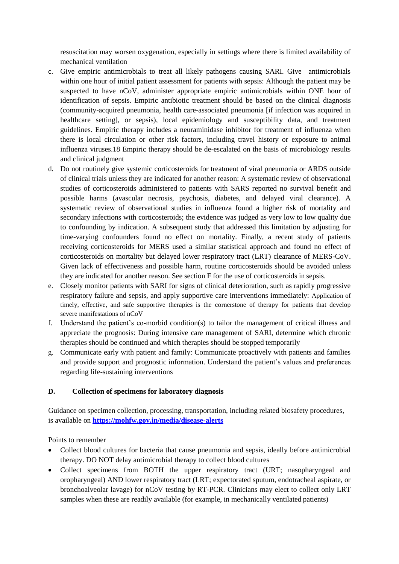resuscitation may worsen oxygenation, especially in settings where there is limited availability of mechanical ventilation

- c. Give empiric antimicrobials to treat all likely pathogens causing SARI. Give antimicrobials within one hour of initial patient assessment for patients with sepsis: Although the patient may be suspected to have nCoV, administer appropriate empiric antimicrobials within ONE hour of identification of sepsis. Empiric antibiotic treatment should be based on the clinical diagnosis (community-acquired pneumonia, health care-associated pneumonia [if infection was acquired in healthcare setting], or sepsis), local epidemiology and susceptibility data, and treatment guidelines. Empiric therapy includes a neuraminidase inhibitor for treatment of influenza when there is local circulation or other risk factors, including travel history or exposure to animal influenza viruses.18 Empiric therapy should be de-escalated on the basis of microbiology results and clinical judgment
- d. Do not routinely give systemic corticosteroids for treatment of viral pneumonia or ARDS outside of clinical trials unless they are indicated for another reason: A systematic review of observational studies of corticosteroids administered to patients with SARS reported no survival benefit and possible harms (avascular necrosis, psychosis, diabetes, and delayed viral clearance). A systematic review of observational studies in influenza found a higher risk of mortality and secondary infections with corticosteroids; the evidence was judged as very low to low quality due to confounding by indication. A subsequent study that addressed this limitation by adjusting for time-varying confounders found no effect on mortality. Finally, a recent study of patients receiving corticosteroids for MERS used a similar statistical approach and found no effect of corticosteroids on mortality but delayed lower respiratory tract (LRT) clearance of MERS-CoV. Given lack of effectiveness and possible harm, routine corticosteroids should be avoided unless they are indicated for another reason. See section F for the use of corticosteroids in sepsis.
- e. Closely monitor patients with SARI for signs of clinical deterioration, such as rapidly progressive respiratory failure and sepsis, and apply supportive care interventions immediately: Application of timely, effective, and safe supportive therapies is the cornerstone of therapy for patients that develop severe manifestations of nCoV
- f. Understand the patient's co-morbid condition(s) to tailor the management of critical illness and appreciate the prognosis: During intensive care management of SARI, determine which chronic therapies should be continued and which therapies should be stopped temporarily
- g. Communicate early with patient and family: Communicate proactively with patients and families and provide support and prognostic information. Understand the patient's values and preferences regarding life-sustaining interventions

### **D. Collection of specimens for laboratory diagnosis**

Guidance on specimen collection, processing, transportation, including related biosafety procedures, is available on **<https://mohfw.gov.in/media/disease-alerts>**

Points to remember

- Collect blood cultures for bacteria that cause pneumonia and sepsis, ideally before antimicrobial therapy. DO NOT delay antimicrobial therapy to collect blood cultures
- Collect specimens from BOTH the upper respiratory tract (URT; nasopharyngeal and oropharyngeal) AND lower respiratory tract (LRT; expectorated sputum, endotracheal aspirate, or bronchoalveolar lavage) for nCoV testing by RT-PCR. Clinicians may elect to collect only LRT samples when these are readily available (for example, in mechanically ventilated patients)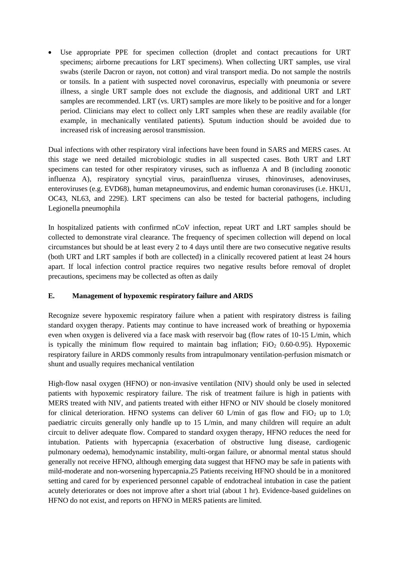Use appropriate PPE for specimen collection (droplet and contact precautions for URT specimens; airborne precautions for LRT specimens). When collecting URT samples, use viral swabs (sterile Dacron or rayon, not cotton) and viral transport media. Do not sample the nostrils or tonsils. In a patient with suspected novel coronavirus, especially with pneumonia or severe illness, a single URT sample does not exclude the diagnosis, and additional URT and LRT samples are recommended. LRT (vs. URT) samples are more likely to be positive and for a longer period. Clinicians may elect to collect only LRT samples when these are readily available (for example, in mechanically ventilated patients). Sputum induction should be avoided due to increased risk of increasing aerosol transmission.

Dual infections with other respiratory viral infections have been found in SARS and MERS cases. At this stage we need detailed microbiologic studies in all suspected cases. Both URT and LRT specimens can tested for other respiratory viruses, such as influenza A and B (including zoonotic influenza A), respiratory syncytial virus, parainfluenza viruses, rhinoviruses, adenoviruses, enteroviruses (e.g. EVD68), human metapneumovirus, and endemic human coronaviruses (i.e. HKU1, OC43, NL63, and 229E). LRT specimens can also be tested for bacterial pathogens, including Legionella pneumophila

In hospitalized patients with confirmed nCoV infection, repeat URT and LRT samples should be collected to demonstrate viral clearance. The frequency of specimen collection will depend on local circumstances but should be at least every 2 to 4 days until there are two consecutive negative results (both URT and LRT samples if both are collected) in a clinically recovered patient at least 24 hours apart. If local infection control practice requires two negative results before removal of droplet precautions, specimens may be collected as often as daily

### **E. Management of hypoxemic respiratory failure and ARDS**

Recognize severe hypoxemic respiratory failure when a patient with respiratory distress is failing standard oxygen therapy. Patients may continue to have increased work of breathing or hypoxemia even when oxygen is delivered via a face mask with reservoir bag (flow rates of 10-15 L/min, which is typically the minimum flow required to maintain bag inflation;  $FiO<sub>2</sub> 0.60-0.95$ ). Hypoxemic respiratory failure in ARDS commonly results from intrapulmonary ventilation-perfusion mismatch or shunt and usually requires mechanical ventilation

High-flow nasal oxygen (HFNO) or non-invasive ventilation (NIV) should only be used in selected patients with hypoxemic respiratory failure. The risk of treatment failure is high in patients with MERS treated with NIV, and patients treated with either HFNO or NIV should be closely monitored for clinical deterioration. HFNO systems can deliver 60 L/min of gas flow and  $FiO<sub>2</sub>$  up to 1.0; paediatric circuits generally only handle up to 15 L/min, and many children will require an adult circuit to deliver adequate flow. Compared to standard oxygen therapy, HFNO reduces the need for intubation. Patients with hypercapnia (exacerbation of obstructive lung disease, cardiogenic pulmonary oedema), hemodynamic instability, multi-organ failure, or abnormal mental status should generally not receive HFNO, although emerging data suggest that HFNO may be safe in patients with mild-moderate and non-worsening hypercapnia.25 Patients receiving HFNO should be in a monitored setting and cared for by experienced personnel capable of endotracheal intubation in case the patient acutely deteriorates or does not improve after a short trial (about 1 hr). Evidence-based guidelines on HFNO do not exist, and reports on HFNO in MERS patients are limited.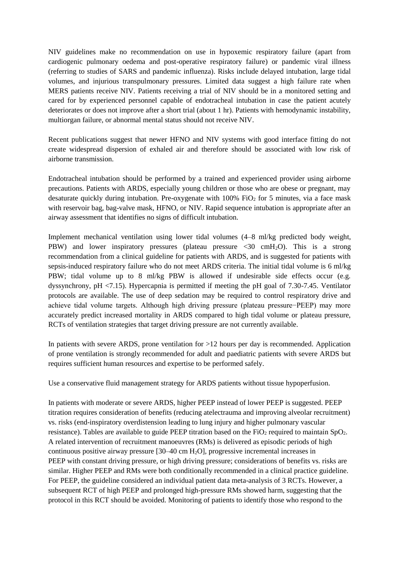NIV guidelines make no recommendation on use in hypoxemic respiratory failure (apart from cardiogenic pulmonary oedema and post-operative respiratory failure) or pandemic viral illness (referring to studies of SARS and pandemic influenza). Risks include delayed intubation, large tidal volumes, and injurious transpulmonary pressures. Limited data suggest a high failure rate when MERS patients receive NIV. Patients receiving a trial of NIV should be in a monitored setting and cared for by experienced personnel capable of endotracheal intubation in case the patient acutely deteriorates or does not improve after a short trial (about 1 hr). Patients with hemodynamic instability, multiorgan failure, or abnormal mental status should not receive NIV.

Recent publications suggest that newer HFNO and NIV systems with good interface fitting do not create widespread dispersion of exhaled air and therefore should be associated with low risk of airborne transmission.

Endotracheal intubation should be performed by a trained and experienced provider using airborne precautions. Patients with ARDS, especially young children or those who are obese or pregnant, may desaturate quickly during intubation. Pre-oxygenate with  $100\%$  FiO<sub>2</sub> for 5 minutes, via a face mask with reservoir bag, bag-valve mask, HFNO, or NIV. Rapid sequence intubation is appropriate after an airway assessment that identifies no signs of difficult intubation.

Implement mechanical ventilation using lower tidal volumes (4–8 ml/kg predicted body weight, PBW) and lower inspiratory pressures (plateau pressure  $\langle 30 \text{ cm} H_2O \rangle$ . This is a strong recommendation from a clinical guideline for patients with ARDS, and is suggested for patients with sepsis-induced respiratory failure who do not meet ARDS criteria. The initial tidal volume is 6 ml/kg PBW; tidal volume up to 8 ml/kg PBW is allowed if undesirable side effects occur (e.g. dyssynchrony, pH <7.15). Hypercapnia is permitted if meeting the pH goal of 7.30-7.45. Ventilator protocols are available. The use of deep sedation may be required to control respiratory drive and achieve tidal volume targets. Although high driving pressure (plateau pressure−PEEP) may more accurately predict increased mortality in ARDS compared to high tidal volume or plateau pressure, RCTs of ventilation strategies that target driving pressure are not currently available.

In patients with severe ARDS, prone ventilation for >12 hours per day is recommended. Application of prone ventilation is strongly recommended for adult and paediatric patients with severe ARDS but requires sufficient human resources and expertise to be performed safely.

Use a conservative fluid management strategy for ARDS patients without tissue hypoperfusion.

In patients with moderate or severe ARDS, higher PEEP instead of lower PEEP is suggested. PEEP titration requires consideration of benefits (reducing atelectrauma and improving alveolar recruitment) vs. risks (end-inspiratory overdistension leading to lung injury and higher pulmonary vascular resistance). Tables are available to guide PEEP titration based on the  $FiO<sub>2</sub>$  required to maintain  $SpO<sub>2</sub>$ . A related intervention of recruitment manoeuvres (RMs) is delivered as episodic periods of high continuous positive airway pressure  $[30-40 \text{ cm H}_2\text{O}]$ , progressive incremental increases in PEEP with constant driving pressure, or high driving pressure; considerations of benefits vs. risks are similar. Higher PEEP and RMs were both conditionally recommended in a clinical practice guideline. For PEEP, the guideline considered an individual patient data meta-analysis of 3 RCTs. However, a subsequent RCT of high PEEP and prolonged high-pressure RMs showed harm, suggesting that the protocol in this RCT should be avoided. Monitoring of patients to identify those who respond to the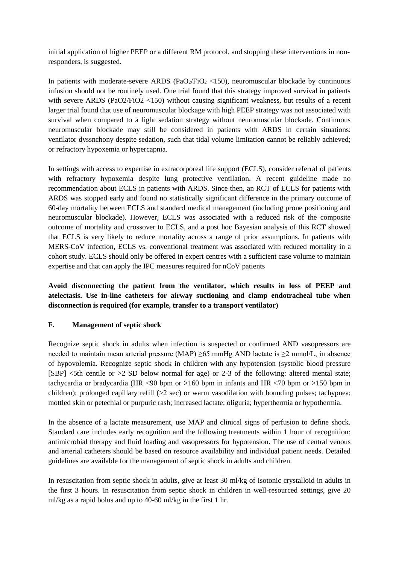initial application of higher PEEP or a different RM protocol, and stopping these interventions in nonresponders, is suggested.

In patients with moderate-severe ARDS ( $PaO<sub>2</sub>/FiO<sub>2</sub> < 150$ ), neuromuscular blockade by continuous infusion should not be routinely used. One trial found that this strategy improved survival in patients with severe ARDS (PaO2/FiO2 <150) without causing significant weakness, but results of a recent larger trial found that use of neuromuscular blockage with high PEEP strategy was not associated with survival when compared to a light sedation strategy without neuromuscular blockade. Continuous neuromuscular blockade may still be considered in patients with ARDS in certain situations: ventilator dyssnchony despite sedation, such that tidal volume limitation cannot be reliably achieved; or refractory hypoxemia or hypercapnia.

In settings with access to expertise in extracorporeal life support (ECLS), consider referral of patients with refractory hypoxemia despite lung protective ventilation. A recent guideline made no recommendation about ECLS in patients with ARDS. Since then, an RCT of ECLS for patients with ARDS was stopped early and found no statistically significant difference in the primary outcome of 60-day mortality between ECLS and standard medical management (including prone positioning and neuromuscular blockade). However, ECLS was associated with a reduced risk of the composite outcome of mortality and crossover to ECLS, and a post hoc Bayesian analysis of this RCT showed that ECLS is very likely to reduce mortality across a range of prior assumptions. In patients with MERS-CoV infection, ECLS vs. conventional treatment was associated with reduced mortality in a cohort study. ECLS should only be offered in expert centres with a sufficient case volume to maintain expertise and that can apply the IPC measures required for nCoV patients

**Avoid disconnecting the patient from the ventilator, which results in loss of PEEP and atelectasis. Use in-line catheters for airway suctioning and clamp endotracheal tube when disconnection is required (for example, transfer to a transport ventilator)**

### **F. Management of septic shock**

Recognize septic shock in adults when infection is suspected or confirmed AND vasopressors are needed to maintain mean arterial pressure (MAP)  $\geq$ 65 mmHg AND lactate is  $\geq$ 2 mmol/L, in absence of hypovolemia. Recognize septic shock in children with any hypotension (systolic blood pressure [SBP] <5th centile or >2 SD below normal for age) or 2-3 of the following: altered mental state; tachycardia or bradycardia (HR <90 bpm or >160 bpm in infants and HR <70 bpm or >150 bpm in children); prolonged capillary refill  $(>2 \text{ sec})$  or warm vasodilation with bounding pulses; tachypnea; mottled skin or petechial or purpuric rash; increased lactate; oliguria; hyperthermia or hypothermia.

In the absence of a lactate measurement, use MAP and clinical signs of perfusion to define shock. Standard care includes early recognition and the following treatments within 1 hour of recognition: antimicrobial therapy and fluid loading and vasopressors for hypotension. The use of central venous and arterial catheters should be based on resource availability and individual patient needs. Detailed guidelines are available for the management of septic shock in adults and children.

In resuscitation from septic shock in adults, give at least 30 ml/kg of isotonic crystalloid in adults in the first 3 hours. In resuscitation from septic shock in children in well-resourced settings, give 20 ml/kg as a rapid bolus and up to 40-60 ml/kg in the first 1 hr.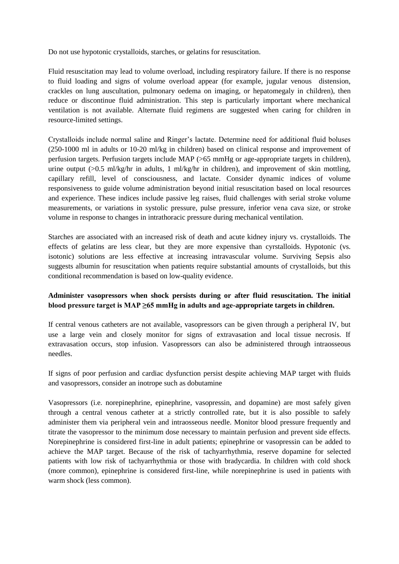Do not use hypotonic crystalloids, starches, or gelatins for resuscitation.

Fluid resuscitation may lead to volume overload, including respiratory failure. If there is no response to fluid loading and signs of volume overload appear (for example, jugular venous distension, crackles on lung auscultation, pulmonary oedema on imaging, or hepatomegaly in children), then reduce or discontinue fluid administration. This step is particularly important where mechanical ventilation is not available. Alternate fluid regimens are suggested when caring for children in resource-limited settings.

Crystalloids include normal saline and Ringer's lactate. Determine need for additional fluid boluses (250-1000 ml in adults or 10-20 ml/kg in children) based on clinical response and improvement of perfusion targets. Perfusion targets include MAP (>65 mmHg or age-appropriate targets in children), urine output  $(0.5 \text{ ml/kg/hr}$  in adults, 1 ml/kg/hr in children), and improvement of skin mottling, capillary refill, level of consciousness, and lactate. Consider dynamic indices of volume responsiveness to guide volume administration beyond initial resuscitation based on local resources and experience. These indices include passive leg raises, fluid challenges with serial stroke volume measurements, or variations in systolic pressure, pulse pressure, inferior vena cava size, or stroke volume in response to changes in intrathoracic pressure during mechanical ventilation.

Starches are associated with an increased risk of death and acute kidney injury vs. crystalloids. The effects of gelatins are less clear, but they are more expensive than cyrstalloids. Hypotonic (vs. isotonic) solutions are less effective at increasing intravascular volume. Surviving Sepsis also suggests albumin for resuscitation when patients require substantial amounts of crystalloids, but this conditional recommendation is based on low-quality evidence.

## **Administer vasopressors when shock persists during or after fluid resuscitation. The initial blood pressure target is MAP ≥65 mmHg in adults and age-appropriate targets in children.**

If central venous catheters are not available, vasopressors can be given through a peripheral IV, but use a large vein and closely monitor for signs of extravasation and local tissue necrosis. If extravasation occurs, stop infusion. Vasopressors can also be administered through intraosseous needles.

If signs of poor perfusion and cardiac dysfunction persist despite achieving MAP target with fluids and vasopressors, consider an inotrope such as dobutamine

Vasopressors (i.e. norepinephrine, epinephrine, vasopressin, and dopamine) are most safely given through a central venous catheter at a strictly controlled rate, but it is also possible to safely administer them via peripheral vein and intraosseous needle. Monitor blood pressure frequently and titrate the vasopressor to the minimum dose necessary to maintain perfusion and prevent side effects. Norepinephrine is considered first-line in adult patients; epinephrine or vasopressin can be added to achieve the MAP target. Because of the risk of tachyarrhythmia, reserve dopamine for selected patients with low risk of tachyarrhythmia or those with bradycardia. In children with cold shock (more common), epinephrine is considered first-line, while norepinephrine is used in patients with warm shock (less common).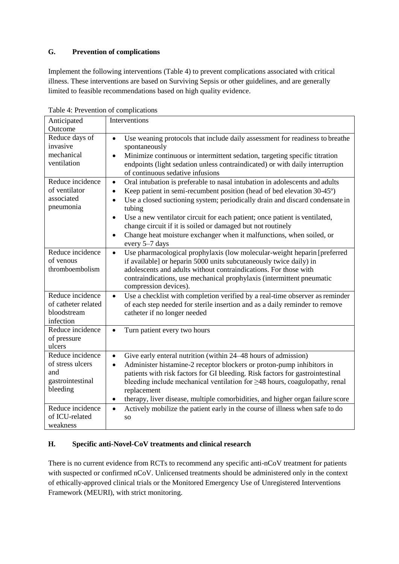## **G. Prevention of complications**

Implement the following interventions (Table 4) to prevent complications associated with critical illness. These interventions are based on Surviving Sepsis or other guidelines, and are generally limited to feasible recommendations based on high quality evidence.

| Anticipated                | Interventions                                                                                                                                          |
|----------------------------|--------------------------------------------------------------------------------------------------------------------------------------------------------|
| Outcome                    |                                                                                                                                                        |
| Reduce days of             | Use weaning protocols that include daily assessment for readiness to breathe<br>$\bullet$                                                              |
| invasive                   | spontaneously                                                                                                                                          |
| mechanical                 | Minimize continuous or intermittent sedation, targeting specific titration<br>$\bullet$                                                                |
| ventilation                | endpoints (light sedation unless contraindicated) or with daily interruption                                                                           |
|                            | of continuous sedative infusions                                                                                                                       |
| Reduce incidence           | Oral intubation is preferable to nasal intubation in adolescents and adults<br>$\bullet$                                                               |
| of ventilator              | Keep patient in semi-recumbent position (head of bed elevation 30-45°)<br>$\bullet$                                                                    |
| associated                 | Use a closed suctioning system; periodically drain and discard condensate in<br>$\bullet$                                                              |
| pneumonia                  | tubing                                                                                                                                                 |
|                            | Use a new ventilator circuit for each patient; once patient is ventilated,<br>$\bullet$<br>change circuit if it is soiled or damaged but not routinely |
|                            | Change heat moisture exchanger when it malfunctions, when soiled, or<br>$\bullet$                                                                      |
|                            | every 5-7 days                                                                                                                                         |
| Reduce incidence           | Use pharmacological prophylaxis (low molecular-weight heparin [preferred<br>$\bullet$                                                                  |
| of venous                  | if available] or heparin 5000 units subcutaneously twice daily) in                                                                                     |
| thromboembolism            | adolescents and adults without contraindications. For those with                                                                                       |
|                            | contraindications, use mechanical prophylaxis (intermittent pneumatic                                                                                  |
|                            | compression devices).                                                                                                                                  |
| Reduce incidence           | Use a checklist with completion verified by a real-time observer as reminder<br>$\bullet$                                                              |
| of catheter related        | of each step needed for sterile insertion and as a daily reminder to remove                                                                            |
| bloodstream                | catheter if no longer needed                                                                                                                           |
| infection                  |                                                                                                                                                        |
| Reduce incidence           | Turn patient every two hours<br>$\bullet$                                                                                                              |
| of pressure                |                                                                                                                                                        |
| ulcers<br>Reduce incidence |                                                                                                                                                        |
| of stress ulcers           | Give early enteral nutrition (within 24–48 hours of admission)<br>$\bullet$                                                                            |
| and                        | Administer histamine-2 receptor blockers or proton-pump inhibitors in<br>$\bullet$                                                                     |
| gastrointestinal           | patients with risk factors for GI bleeding. Risk factors for gastrointestinal                                                                          |
| bleeding                   | bleeding include mechanical ventilation for $\geq$ 48 hours, coagulopathy, renal                                                                       |
|                            | replacement<br>therapy, liver disease, multiple comorbidities, and higher organ failure score<br>$\bullet$                                             |
| Reduce incidence           |                                                                                                                                                        |
| of ICU-related             | Actively mobilize the patient early in the course of illness when safe to do<br>$\bullet$                                                              |
| weakness                   | SO                                                                                                                                                     |
|                            |                                                                                                                                                        |

Table 4: Prevention of complications

# **H. Specific anti-Novel-CoV treatments and clinical research**

There is no current evidence from RCTs to recommend any specific anti-nCoV treatment for patients with suspected or confirmed nCoV. Unlicensed treatments should be administered only in the context of ethically-approved clinical trials or the Monitored Emergency Use of Unregistered Interventions Framework (MEURI), with strict monitoring.